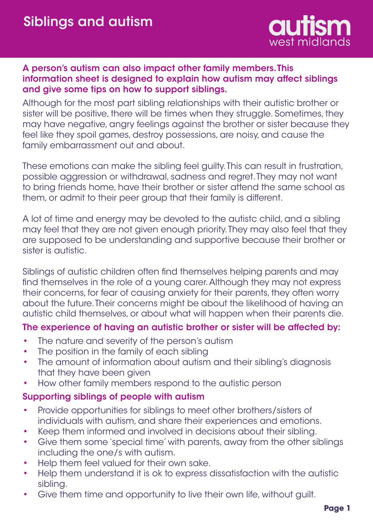

## A person's autism can also impact other family members. This information sheet is designed to explain how autism may affect siblings and give some tips on how to support siblings.

Although for the most part sibling relationships with their autistic brother or sister will be positive, there will be times when they struggle. Sometimes, they may have negative, angry feelings against the brother or sister because they feel like they spoil games, destroy possessions, are noisy, and cause the family embarrassment out and about.

These emotions can make the sibling feel guilty. This can result in frustration, possible aggression or withdrawal, sadness and regret. They may not want to bring friends home, have their brother or sister attend the same school as them, or admit to their peer group that their family is different.

A lot of time and energy may be devoted to the autistc child, and a sibling may feel that they are not given enough priority. They may also feel that they are supposed to be understanding and supportive because their brother or sister is autistic.

Siblings of autistic children often find themselves helping parents and may find themselves in the role of a young carer. Although they may not express their concerns, for fear of causing anxiety for their parents, they often worry about the future. Their concerns might be about the likelihood of having an autistic child themselves, or about what will happen when their parents die.

## The experience of having an autistic brother or sister will be affected by:

- The nature and severity of the person's autism •
- The position in the family of each sibling •
- The amount of information about autism and their sibling's diagnosis that they have been given •
- How other family members respond to the autistic person •

## Supporting siblings of people with autism

- Provide opportunities for siblings to meet other brothers/sisters of individuals with autism, and share their experiences and emotions. •
- Keep them informed and involved in decisions about their sibling. •
- Give them some 'special time' with parents, away from the other siblings including the one/s with autism. •
- Help them feel valued for their own sake. •
- Help them understand it is ok to express dissatisfaction with the autistic sibling. •
- Give them time and opportunity to live their own life, without guilt. •